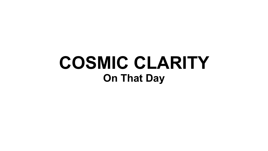## **COSMIC CLARITY On That Day**

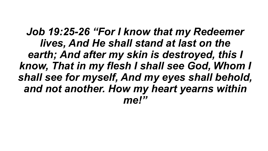*Job 19:25-26 "For I know that my Redeemer lives, And He shall stand at last on the earth; And after my skin is destroyed, this I know, That in my flesh I shall see God, Whom I shall see for myself, And my eyes shall behold, and not another. How my heart yearns within me!"*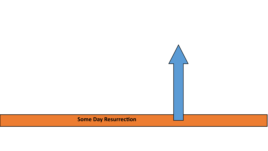### **Some Day Resurrection**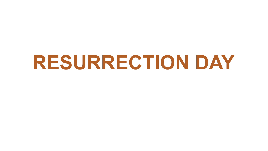## **RESURRECTION DAY**

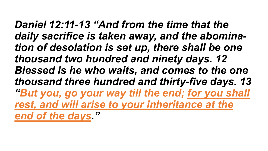*Daniel 12:11-13 "And from the time that the daily sacrifice is taken away, and the abomination of desolation is set up, there shall be one thousand two hundred and ninety days. 12 Blessed is he who waits, and comes to the one thousand three hundred and thirty-five days. 13 "But you, go your way till the end; for you shall*  rest, and will arise to your inheritance at the *end of the days."*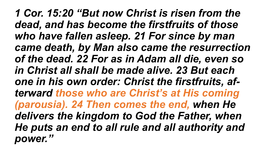*1 Cor. 15:20 "But now Christ is risen from the dead, and has become the firstfruits of those who have fallen asleep. 21 For since by man came death, by Man also came the resurrection of the dead. 22 For as in Adam all die, even so in Christ all shall be made alive. 23 But each one in his own order: Christ the firstfruits, afterward those who are Christ's at His coming (parousia). 24 Then comes the end, when He delivers the kingdom to God the Father, when He puts an end to all rule and all authority and power."*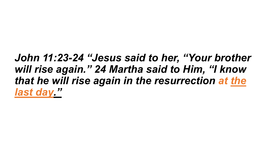### *John 11:23-24 "Jesus said to her, "Your brother will rise again." 24 Martha said to Him, "I know that he will rise again in the resurrection at the last day."*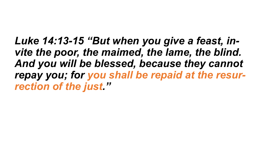*Luke 14:13-15 "But when you give a feast, invite the poor, the maimed, the lame, the blind. And you will be blessed, because they cannot repay you; for you shall be repaid at the resurrection of the just."*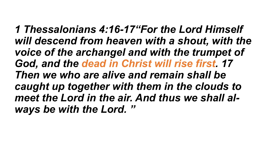*1 Thessalonians 4:16-17"For the Lord Himself will descend from heaven with a shout, with the voice of the archangel and with the trumpet of God, and the dead in Christ will rise first. 17 Then we who are alive and remain shall be caught up together with them in the clouds to meet the Lord in the air. And thus we shall always be with the Lord. "*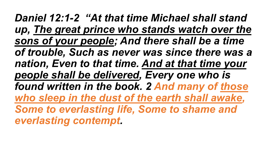*Daniel 12:1-2 "At that time Michael shall stand up, The great prince who stands watch over the sons of your people; And there shall be a time of trouble, Such as never was since there was a nation, Even to that time. And at that time your people shall be delivered, Every one who is found written in the book. 2 And many of those who sleep in the dust of the earth shall awake, Some to everlasting life, Some to shame and everlasting contempt.*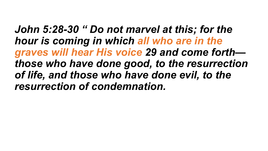*John 5:28-30 " Do not marvel at this; for the hour is coming in which all who are in the graves will hear His voice 29 and come forth those who have done good, to the resurrection of life, and those who have done evil, to the resurrection of condemnation.*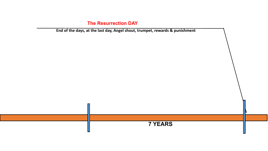### **The Resurrection DAY**

**End of the days, at the last day, Angel shout, trumpet, rewards & punishment**



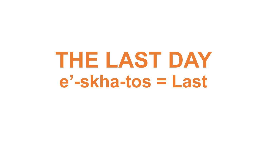# **THE LAST DAY e' -skha-tos = Last**

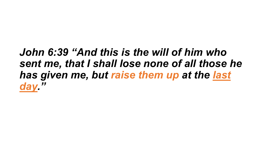## *John 6:39 "And this is the will of him who sent me, that I shall lose none of all those he has given me, but raise them up at the last day."*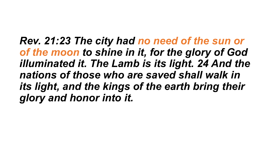*Rev. 21:23 The city had no need of the sun or of the moon to shine in it, for the glory of God illuminated it. The Lamb is its light. 24 And the nations of those who are saved shall walk in its light, and the kings of the earth bring their glory and honor into it.*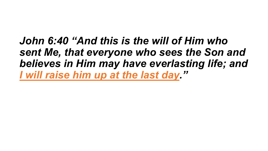*John 6:40 "And this is the will of Him who sent Me, that everyone who sees the Son and believes in Him may have everlasting life; and I will raise him up at the last day."*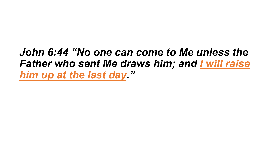## *John 6:44 "No one can come to Me unless the Father who sent Me draws him; and I will raise him up at the last day."*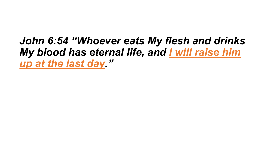*John 6:54 "Whoever eats My flesh and drinks My blood has eternal life, and I will raise him up at the last day."*

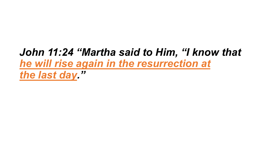## *John 11:24 "Martha said to Him, "I know that he will rise again in the resurrection at the last day."*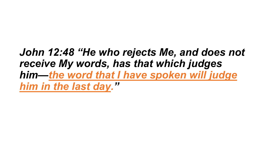### *John 12:48 "He who rejects Me, and does not receive My words, has that which judges him—the word that I have spoken will judge him in the last day. "*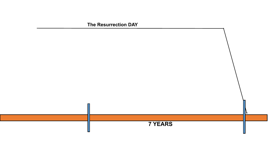### **7 YEARS**

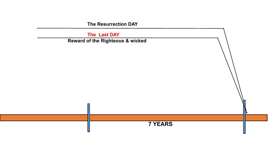**The Resurrection DAY**

 **The Last DAY** 





### **Reward of the Righteous & wicked**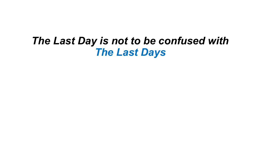### *The Last Day is not to be confused with The Last Days*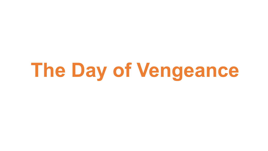**The Day of Vengeance**

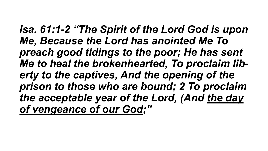*Isa. 61:1-2 "The Spirit of the Lord God is upon Me, Because the Lord has anointed Me To preach good tidings to the poor; He has sent Me to heal the brokenhearted, To proclaim liberty to the captives, And the opening of the prison to those who are bound; 2 To proclaim the acceptable year of the Lord, (And the day of vengeance of our God;"*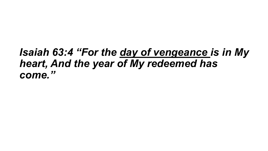### *Isaiah 63:4 "For the day of vengeance is in My heart, And the year of My redeemed has come."*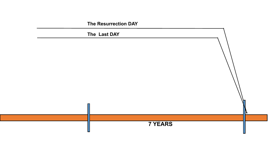**The Resurrection DAY**

### **The Last DAY**



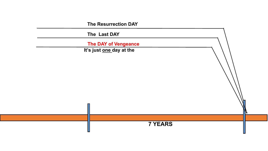**The Resurrection DAY**

 **The Last DAY** 

 **The DAY of Vengeance**

**It's just one day at the** 



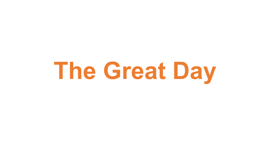# **The Great Day**

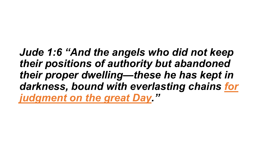### *Jude 1:6 "And the angels who did not keep their positions of authority but abandoned their proper dwelling—these he has kept in darkness, bound with everlasting chains for judgment on the great Day."*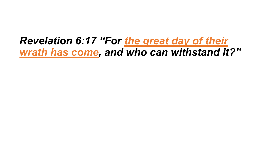### *Revelation 6:17 "For the great day of their wrath has come, and who can withstand it?"*

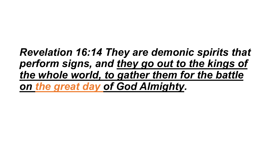## *Revelation 16:14 They are demonic spirits that perform signs, and they go out to the kings of the whole world, to gather them for the battle on the great day of God Almighty.*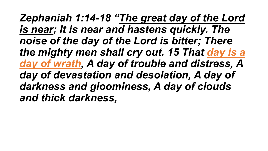*Zephaniah 1:14-18 "The great day of the Lord is near; It is near and hastens quickly. The noise of the day of the Lord is bitter; There the mighty men shall cry out. 15 That day is a day of wrath, A day of trouble and distress, A day of devastation and desolation, A day of darkness and gloominess, A day of clouds and thick darkness,*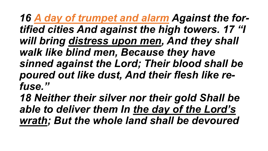*16 A day of trumpet and alarm Against the fortified cities And against the high towers. 17 "I will bring distress upon men, And they shall walk like blind men, Because they have sinned against the Lord; Their blood shall be poured out like dust, And their flesh like refuse."*

*18 Neither their silver nor their gold Shall be able to deliver them In the day of the Lord's wrath; But the whole land shall be devoured*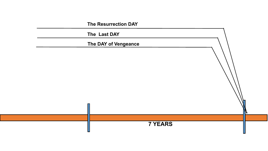**The Resurrection DAY**

 **The Last DAY** 

 **The DAY of Vengeance**



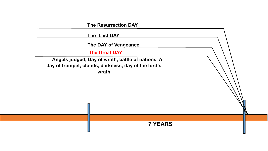**The Resurrection DAY**

 **The Last DAY** 

 **The DAY of Vengeance**

**The Great DAY**





 **Angels judged, Day of wrath, battle of nations, A day of trumpet, clouds, darkness, day of the lord's wrath**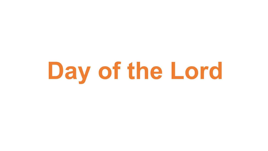# **Day of the Lord**

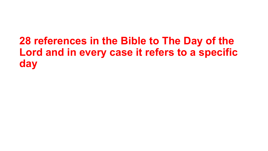## **28 references in the Bible to The Day of the Lord and in every case it refers to a specific day**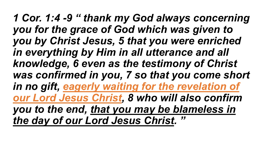*1 Cor. 1:4 -9 " thank my God always concerning you for the grace of God which was given to you by Christ Jesus, 5 that you were enriched in everything by Him in all utterance and all knowledge, 6 even as the testimony of Christ was confirmed in you, 7 so that you come short in no gift, eagerly waiting for the revelation of our Lord Jesus Christ, 8 who will also confirm you to the end, that you may be blameless in the day of our Lord Jesus Christ. "*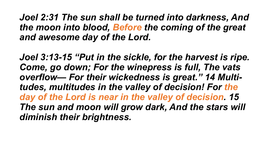*Joel 2:31 The sun shall be turned into darkness, And the moon into blood, Before the coming of the great and awesome day of the Lord.*

*Joel 3:13-15 "Put in the sickle, for the harvest is ripe. Come, go down; For the winepress is full, The vats overflow— For their wickedness is great." 14 Multitudes, multitudes in the valley of decision! For the day of the Lord is near in the valley of decision. 15 The sun and moon will grow dark, And the stars will diminish their brightness.*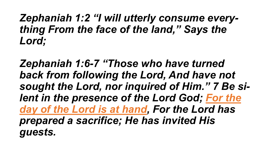### *Zephaniah 1:2 "I will utterly consume everything From the face of the land," Says the Lord;*

*Zephaniah 1:6-7 "Those who have turned back from following the Lord, And have not sought the Lord, nor inquired of Him." 7 Be silent in the presence of the Lord God; For the day of the Lord is at hand, For the Lord has prepared a sacrifice; He has invited His guests.*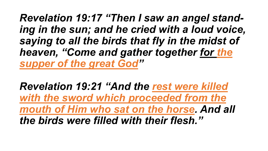*Revelation 19:17 "Then I saw an angel standing in the sun; and he cried with a loud voice, saying to all the birds that fly in the midst of heaven, "Come and gather together for the supper of the great God"*

*Revelation 19:21 "And the rest were killed with the sword which proceeded from the mouth of Him who sat on the horse. And all the birds were filled with their flesh."*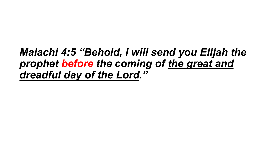## *Malachi 4:5 "Behold, I will send you Elijah the prophet before the coming of the great and dreadful day of the Lord."*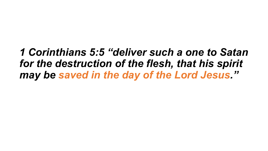## *1 Corinthians 5:5 "deliver such a one to Satan for the destruction of the flesh, that his spirit may be saved in the day of the Lord Jesus."*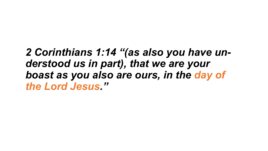### *2 Corinthians 1:14 "(as also you have understood us in part), that we are your boast as you also are ours, in the day of the Lord Jesus."*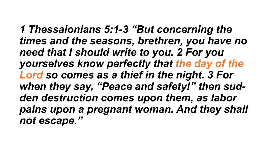*1 Thessalonians 5:1-3 "But concerning the times and the seasons, brethren, you have no need that I should write to you. 2 For you yourselves know perfectly that the day of the Lord so comes as a thief in the night. 3 For when they say, "Peace and safety!" then sudden destruction comes upon them, as labor pains upon a pregnant woman. And they shall not escape."*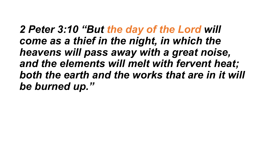*2 Peter 3:10 "But the day of the Lord will come as a thief in the night, in which the heavens will pass away with a great noise, and the elements will melt with fervent heat; both the earth and the works that are in it will be burned up."*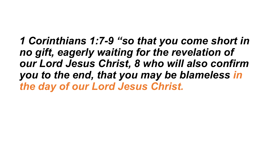*1 Corinthians 1:7-9 "so that you come short in no gift, eagerly waiting for the revelation of our Lord Jesus Christ, 8 who will also confirm you to the end, that you may be blameless in the day of our Lord Jesus Christ.*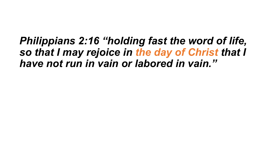### *Philippians 2:16 "holding fast the word of life, so that I may rejoice in the day of Christ that I have not run in vain or labored in vain."*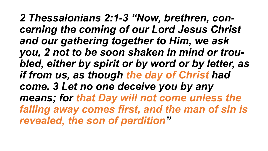*2 Thessalonians 2:1-3 "Now, brethren, concerning the coming of our Lord Jesus Christ and our gathering together to Him, we ask you, 2 not to be soon shaken in mind or troubled, either by spirit or by word or by letter, as if from us, as though the day of Christ had come. 3 Let no one deceive you by any means; for that Day will not come unless the falling away comes first, and the man of sin is revealed, the son of perdition"*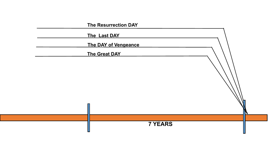**The Resurrection DAY**

**The Last DAY** 

**The DAY of Vengeance** 

**The Great DAY**



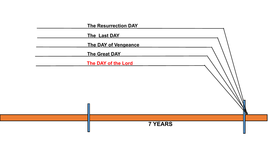**The Last DAY** 

**The DAY of Vengeance** 

**The Great DAY**

**The DAY of the Lord**



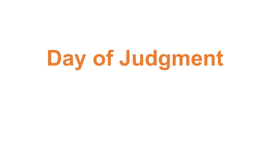# **Day of Judgment**

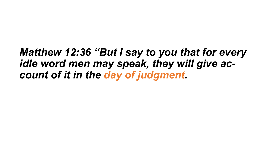## *Matthew 12:36 "But I say to you that for every idle word men may speak, they will give account of it in the day of judgment.*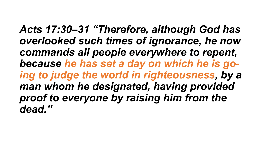*Acts 17:30–31 "Therefore, although God has overlooked such times of ignorance, he now commands all people everywhere to repent, because he has set a day on which he is going to judge the world in righteousness, by a man whom he designated, having provided proof to everyone by raising him from the dead."*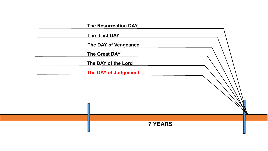| <b>The Resurrection DAY</b> |
|-----------------------------|
| The Last DAY                |
| <b>The DAY of Vengeance</b> |
| <b>The Great DAY</b>        |
| The DAY of the Lord         |
| <b>The DAY of Judgement</b> |



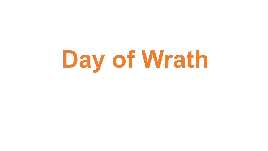# **Day of Wrath**

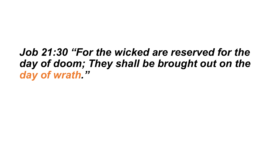## *Job 21:30 "For the wicked are reserved for the day of doom; They shall be brought out on the day of wrath."*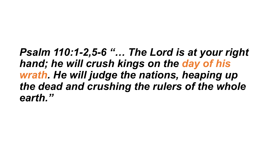*Psalm 110:1-2,5-6 "… The Lord is at your right hand; he will crush kings on the day of his wrath. He will judge the nations, heaping up the dead and crushing the rulers of the whole earth."*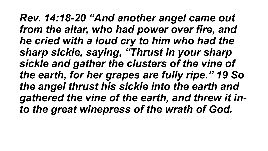*Rev. 14:18-20 "And another angel came out from the altar, who had power over fire, and he cried with a loud cry to him who had the sharp sickle, saying, "Thrust in your sharp sickle and gather the clusters of the vine of the earth, for her grapes are fully ripe." 19 So the angel thrust his sickle into the earth and gathered the vine of the earth, and threw it into the great winepress of the wrath of God.*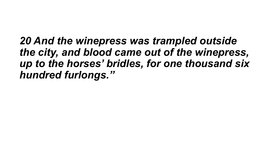*20 And the winepress was trampled outside the city, and blood came out of the winepress, up to the horses' bridles, for one thousand six hundred furlongs."*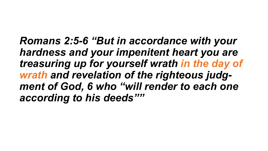*Romans 2:5-6 "But in accordance with your hardness and your impenitent heart you are treasuring up for yourself wrath in the day of wrath and revelation of the righteous judgment of God, 6 who "will render to each one according to his deeds""*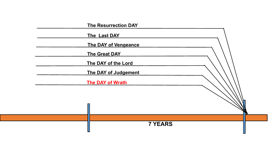| <b>The Resurrection DAY</b> |
|-----------------------------|
| The Last DAY                |
| <b>The DAY of Vengeance</b> |
| <b>The Great DAY</b>        |
| The DAY of the Lord         |
| <b>The DAY of Judgement</b> |
| <b>The DAY of Wrath</b>     |